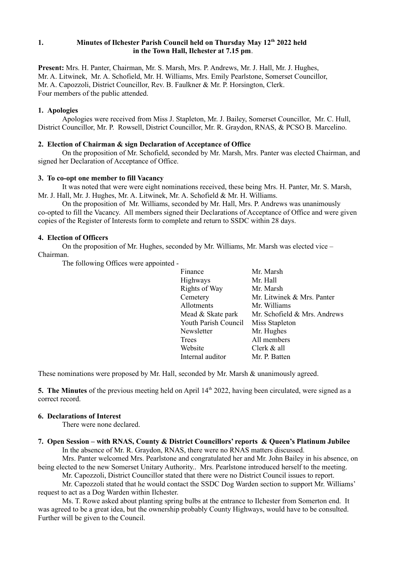# **1. Minutes of Ilchester Parish Council held on Thursday May 12th 2022 held in the Town Hall, Ilchester at 7.15 pm**.

**Present:** Mrs. H. Panter, Chairman, Mr. S. Marsh, Mrs. P. Andrews, Mr. J. Hall, Mr. J. Hughes, Mr. A. Litwinek, Mr. A. Schofield, Mr. H. Williams, Mrs. Emily Pearlstone, Somerset Councillor, Mr. A. Capozzoli, District Councillor, Rev. B. Faulkner & Mr. P. Horsington, Clerk. Four members of the public attended.

## **1. Apologies**

Apologies were received from Miss J. Stapleton, Mr. J. Bailey, Somerset Councillor, Mr. C. Hull, District Councillor, Mr. P. Rowsell, District Councillor, Mr. R. Graydon, RNAS, & PCSO B. Marcelino.

## **2. Election of Chairman & sign Declaration of Acceptance of Office**

On the proposition of Mr. Schofield, seconded by Mr. Marsh, Mrs. Panter was elected Chairman, and signed her Declaration of Acceptance of Office.

#### **3. To co-opt one member to fill Vacancy**

It was noted that were were eight nominations received, these being Mrs. H. Panter, Mr. S. Marsh, Mr. J. Hall, Mr. J. Hughes, Mr. A. Litwinek, Mr. A. Schofield & Mr. H. Williams.

On the proposition of Mr. Williams, seconded by Mr. Hall, Mrs. P. Andrews was unanimously co-opted to fill the Vacancy. All members signed their Declarations of Acceptance of Office and were given copies of the Register of Interests form to complete and return to SSDC within 28 days.

#### **4. Election of Officers**

On the proposition of Mr. Hughes, seconded by Mr. Williams, Mr. Marsh was elected vice – Chairman.

The following Offices were appointed -

| Finance              | Mr. Marsh                    |  |
|----------------------|------------------------------|--|
| Highways             | Mr. Hall                     |  |
| <b>Rights of Way</b> | Mr. Marsh                    |  |
| Cemetery             | Mr. Litwinek & Mrs. Panter   |  |
| Allotments           | Mr. Williams                 |  |
| Mead & Skate park    | Mr. Schofield & Mrs. Andrews |  |
| Youth Parish Council | Miss Stapleton               |  |
| Newsletter           | Mr. Hughes                   |  |
| Trees                | All members                  |  |
| Website              | Clerk & all                  |  |
| Internal auditor     | Mr. P. Batten                |  |

These nominations were proposed by Mr. Hall, seconded by Mr. Marsh & unanimously agreed.

**5. The Minutes** of the previous meeting held on April 14<sup>th</sup> 2022, having been circulated, were signed as a correct record.

#### **6. Declarations of Interest**

There were none declared.

### **7. Open Session – with RNAS, County & District Councillors' reports & Queen's Platinum Jubilee** In the absence of Mr. R. Graydon, RNAS, there were no RNAS matters discussed.

Mrs. Panter welcomed Mrs. Pearlstone and congratulated her and Mr. John Bailey in his absence, on being elected to the new Somerset Unitary Authority.. Mrs. Pearlstone introduced herself to the meeting.

Mr. Capozzoli, District Councillor stated that there were no District Council issues to report.

Mr. Capozzoli stated that he would contact the SSDC Dog Warden section to support Mr. Williams' request to act as a Dog Warden within Ilchester.

Ms. T. Rowe asked about planting spring bulbs at the entrance to Ilchester from Somerton end. It was agreed to be a great idea, but the ownership probably County Highways, would have to be consulted. Further will be given to the Council.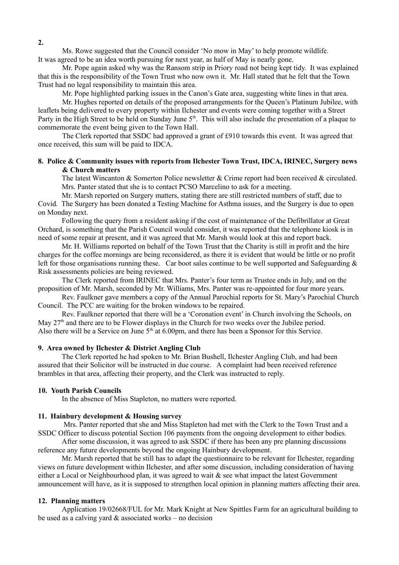Ms. Rowe suggested that the Council consider 'No mow in May' to help promote wildlife. It was agreed to be an idea worth pursuing for next year, as half of May is nearly gone.

Mr. Pope again asked why was the Ransom strip in Priory road not being kept tidy. It was explained that this is the responsibility of the Town Trust who now own it. Mr. Hall stated that he felt that the Town Trust had no legal responsibility to maintain this area.

Mr. Pope highlighted parking issues in the Canon's Gate area, suggesting white lines in that area.

Mr. Hughes reported on details of the proposed arrangements for the Queen's Platinum Jubilee, with leaflets being delivered to every property within Ilchester and events were coming together with a Street Party in the High Street to be held on Sunday June 5<sup>th</sup>. This will also include the presentation of a plaque to commemorate the event being given to the Town Hall.

The Clerk reported that SSDC had approved a grant of £910 towards this event. It was agreed that once received, this sum will be paid to IDCA.

### **8. Police & Community issues with reports from Ilchester Town Trust, IDCA, IRINEC, Surgery news & Church matters**

The latest Wincanton & Somerton Police newsletter & Crime report had been received & circulated. Mrs. Panter stated that she is to contact PCSO Marcelino to ask for a meeting.

Mr. Marsh reported on Surgery matters, stating there are still restricted numbers of staff, due to Covid. The Surgery has been donated a Testing Machine for Asthma issues, and the Surgery is due to open on Monday next.

Following the query from a resident asking if the cost of maintenance of the Defibrillator at Great Orchard, is something that the Parish Council would consider, it was reported that the telephone kiosk is in need of some repair at present, and it was agreed that Mr. Marsh would look at this and report back.

Mr. H. Williams reported on behalf of the Town Trust that the Charity is still in profit and the hire charges for the coffee mornings are being reconsidered, as there it is evident that would be little or no profit left for those organisations running these. Car boot sales continue to be well supported and Safeguarding & Risk assessments policies are being reviewed.

The Clerk reported from IRINEC that Mrs. Panter's four term as Trustee ends in July, and on the proposition of Mr. Marsh, seconded by Mr. Williams, Mrs. Panter was re-appointed for four more years.

Rev. Faulkner gave members a copy of the Annual Parochial reports for St. Mary's Parochial Church Council. The PCC are waiting for the broken windows to be repaired.

Rev. Faulkner reported that there will be a 'Coronation event' in Church involving the Schools, on May 27<sup>th</sup> and there are to be Flower displays in the Church for two weeks over the Jubilee period. Also there will be a Service on June  $5<sup>th</sup>$  at 6.00pm, and there has been a Sponsor for this Service.

### **9. Area owned by Ilchester & District Angling Club**

The Clerk reported he had spoken to Mr. Brian Bushell, Ilchester Angling Club, and had been assured that their Solicitor will be instructed in due course. A complaint had been received reference brambles in that area, affecting their property, and the Clerk was instructed to reply.

#### **10. Youth Parish Councils**

In the absence of Miss Stapleton, no matters were reported.

### **11. Hainbury development & Housing survey**

 Mrs. Panter reported that she and Miss Stapleton had met with the Clerk to the Town Trust and a SSDC Officer to discuss potential Section 106 payments from the ongoing development to either bodies.

After some discussion, it was agreed to ask SSDC if there has been any pre planning discussions reference any future developments beyond the ongoing Hainbury development.

Mr. Marsh reported that he still has to adapt the questionnaire to be relevant for Ilchester, regarding views on future development within Ilchester, and after some discussion, including consideration of having either a Local or Neighbourhood plan, it was agreed to wait & see what impact the latest Government announcement will have, as it is supposed to strengthen local opinion in planning matters affecting their area.

#### **12. Planning matters**

Application 19/02668/FUL for Mr. Mark Knight at New Spittles Farm for an agricultural building to be used as a calving yard  $\&$  associated works – no decision

**2.**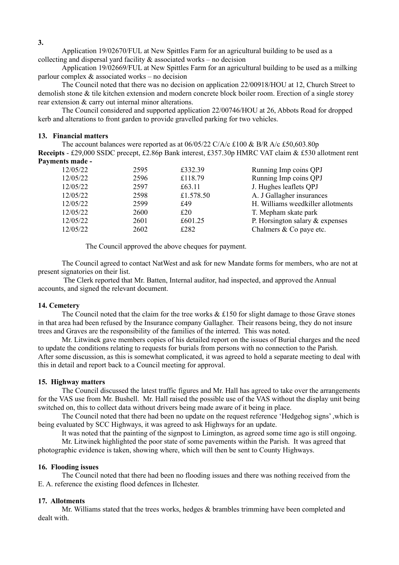**3.**

Application 19/02670/FUL at New Spittles Farm for an agricultural building to be used as a collecting and dispersal yard facility  $&$  associated works – no decision

Application 19/02669/FUL at New Spittles Farm for an agricultural building to be used as a milking parlour complex  $\&$  associated works – no decision

The Council noted that there was no decision on application 22/00918/HOU at 12, Church Street to demolish stone & tile kitchen extension and modern concrete block boiler room. Erection of a single storey rear extension & carry out internal minor alterations.

The Council considered and supported application 22/00746/HOU at 26, Abbots Road for dropped kerb and alterations to front garden to provide gravelled parking for two vehicles.

#### **13. Financial matters**

The account balances were reported as at  $06/05/22$  C/A/c £100 & B/R A/c £50,603.80p **Receipts** - £29,000 SSDC precept, £2.86p Bank interest, £357.30p HMRC VAT claim & £530 allotment rent **Payments made -**

| 12/05/22 | 2595 | £332.39   | Running Imp coins QPJ             |
|----------|------|-----------|-----------------------------------|
| 12/05/22 | 2596 | £118.79   | Running Imp coins QPJ             |
| 12/05/22 | 2597 | £63.11    | J. Hughes leaflets QPJ            |
| 12/05/22 | 2598 | £1.578.50 | A. J Gallagher insurances         |
| 12/05/22 | 2599 | f49       | H. Williams weedkiller allotments |
| 12/05/22 | 2600 | £20       | T. Mepham skate park              |
| 12/05/22 | 2601 | £601.25   | P. Horsington salary & expenses   |
| 12/05/22 | 2602 | £282      | Chalmers & Co paye etc.           |
|          |      |           |                                   |

The Council approved the above cheques for payment.

The Council agreed to contact NatWest and ask for new Mandate forms for members, who are not at present signatories on their list.

 The Clerk reported that Mr. Batten, Internal auditor, had inspected, and approved the Annual accounts, and signed the relevant document.

### **14. Cemetery**

The Council noted that the claim for the tree works  $& \text{£}150$  for slight damage to those Grave stones in that area had been refused by the Insurance company Gallagher. Their reasons being, they do not insure trees and Graves are the responsibility of the families of the interred. This was noted.

Mr. Litwinek gave members copies of his detailed report on the issues of Burial charges and the need to update the conditions relating to requests for burials from persons with no connection to the Parish. After some discussion, as this is somewhat complicated, it was agreed to hold a separate meeting to deal with this in detail and report back to a Council meeting for approval.

#### **15. Highway matters**

The Council discussed the latest traffic figures and Mr. Hall has agreed to take over the arrangements for the VAS use from Mr. Bushell. Mr. Hall raised the possible use of the VAS without the display unit being switched on, this to collect data without drivers being made aware of it being in place.

The Council noted that there had been no update on the request reference 'Hedgehog signs' ,which is being evaluated by SCC Highways, it was agreed to ask Highways for an update.

It was noted that the painting of the signpost to Limington, as agreed some time ago is still ongoing. Mr. Litwinek highlighted the poor state of some pavements within the Parish. It was agreed that

photographic evidence is taken, showing where, which will then be sent to County Highways.

#### **16. Flooding issues**

The Council noted that there had been no flooding issues and there was nothing received from the E. A. reference the existing flood defences in Ilchester.

#### **17. Allotments**

Mr. Williams stated that the trees works, hedges & brambles trimming have been completed and dealt with.